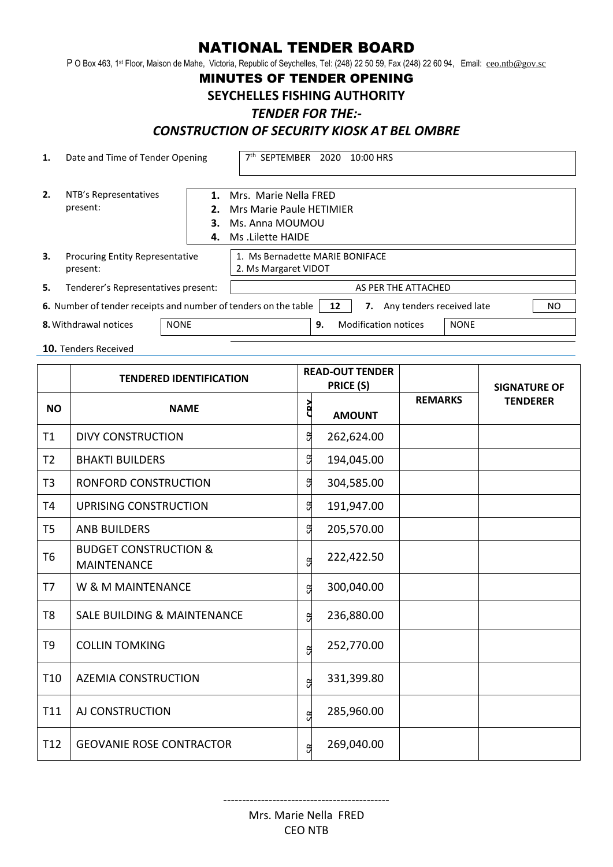# NATIONAL TENDER BOARD

P O Box 463, 1<sup>st</sup> Floor, Maison de Mahe, Victoria, Republic of Seychelles, Tel: (248) 22 50 59, Fax (248) 22 60 94, Email: <u>[ceo.ntb@gov.sc](mailto:ceo.ntb@gov.sc)</u>

## MINUTES OF TENDER OPENING

#### **SEYCHELLES FISHING AUTHORITY**

#### *TENDER FOR THE:-*

## *CONSTRUCTION OF SECURITY KIOSK AT BEL OMBRE*

| 1.                                   | Date and Time of Tender Opening                                                                                 |          | 7 <sup>th</sup> SEPTEMBER 2020<br>10:00 HRS                                                     |  |  |  |  |
|--------------------------------------|-----------------------------------------------------------------------------------------------------------------|----------|-------------------------------------------------------------------------------------------------|--|--|--|--|
| 2.                                   | NTB's Representatives<br>present:                                                                               | З.<br>4. | 1. Mrs. Marie Nella FRED<br>2. Mrs Marie Paule HETIMIER<br>Ms. Anna MOUMOU<br>Ms .Lilette HAIDE |  |  |  |  |
| 3.                                   | <b>Procuring Entity Representative</b><br>present:                                                              |          | 1. Ms Bernadette MARIE BONIFACE<br>2. Ms Margaret VIDOT                                         |  |  |  |  |
| 5.                                   | Tenderer's Representatives present:                                                                             |          | AS PER THE ATTACHED                                                                             |  |  |  |  |
|                                      | 6. Number of tender receipts and number of tenders on the table<br>Any tenders received late<br>NO.<br>12<br>7. |          |                                                                                                 |  |  |  |  |
| <b>NONE</b><br>8. Withdrawal notices |                                                                                                                 |          | <b>Modification notices</b><br><b>NONE</b><br>9.                                                |  |  |  |  |

**10.** Tenders Received

|                 | <b>TENDERED IDENTIFICATION</b>                         | <b>READ-OUT TENDER</b><br>PRICE (S) |               |                | <b>SIGNATURE OF</b> |
|-----------------|--------------------------------------------------------|-------------------------------------|---------------|----------------|---------------------|
| <b>NO</b>       | <b>NAME</b>                                            | ČΡ                                  | <b>AMOUNT</b> | <b>REMARKS</b> | <b>TENDERER</b>     |
| T1              | <b>DIVY CONSTRUCTION</b>                               | G                                   | 262,624.00    |                |                     |
| T <sub>2</sub>  | <b>BHAKTI BUILDERS</b>                                 | G                                   | 194,045.00    |                |                     |
| T <sub>3</sub>  | RONFORD CONSTRUCTION                                   | G                                   | 304,585.00    |                |                     |
| T <sub>4</sub>  | UPRISING CONSTRUCTION                                  | G                                   | 191,947.00    |                |                     |
| T <sub>5</sub>  | <b>ANB BUILDERS</b>                                    | g                                   | 205,570.00    |                |                     |
| T <sub>6</sub>  | <b>BUDGET CONSTRUCTION &amp;</b><br><b>MAINTENANCE</b> | g                                   | 222,422.50    |                |                     |
| T7              | W & M MAINTENANCE                                      | g                                   | 300,040.00    |                |                     |
| T <sub>8</sub>  | <b>SALE BUILDING &amp; MAINTENANCE</b>                 | <u>g</u>                            | 236,880.00    |                |                     |
| T9              | <b>COLLIN TOMKING</b>                                  | G                                   | 252,770.00    |                |                     |
| T <sub>10</sub> | <b>AZEMIA CONSTRUCTION</b>                             | g                                   | 331,399.80    |                |                     |
| T11             | AJ CONSTRUCTION                                        | g                                   | 285,960.00    |                |                     |
| T <sub>12</sub> | <b>GEOVANIE ROSE CONTRACTOR</b>                        | g                                   | 269,040.00    |                |                     |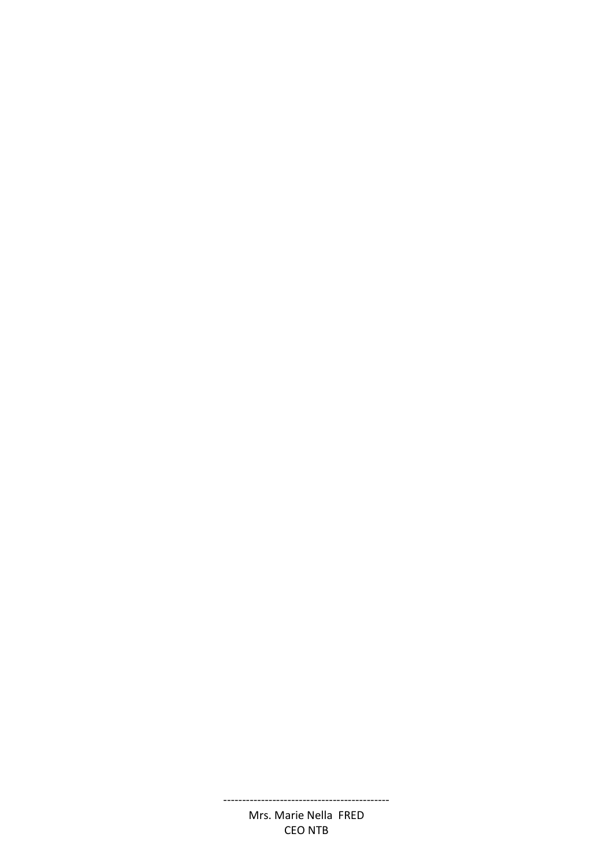#### Mrs. Marie Nella FRED CEO NTB

--------------------------------------------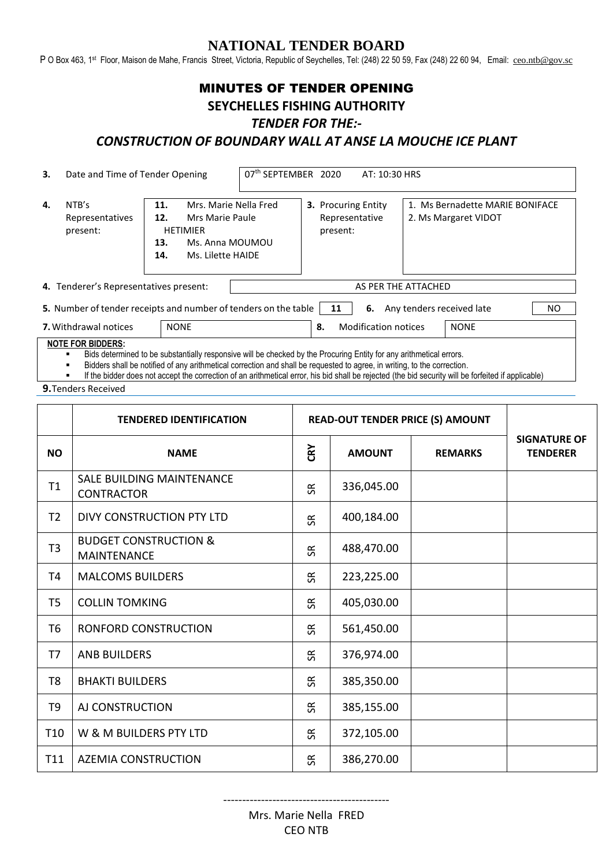## **NATIONAL TENDER BOARD**

P O Box 463, 1st Floor, Maison de Mahe, Francis Street, Victoria, Republic of Seychelles, Tel: (248) 22 50 59, Fax (248) 22 60 94, Email: [ceo.ntb@gov.sc](mailto:ceo.ntb@gov.sc)

# MINUTES OF TENDER OPENING **SEYCHELLES FISHING AUTHORITY**

#### *TENDER FOR THE:-*

# *CONSTRUCTION OF BOUNDARY WALL AT ANSE LA MOUCHE ICE PLANT*

| 3.                                     | Date and Time of Tender Opening                                                                                                                                                                                    |                                                                                                                                 | 07th SEPTEMBER 2020<br>AT: 10:30 HRS |                     |                                                          |  |                                                         |  |
|----------------------------------------|--------------------------------------------------------------------------------------------------------------------------------------------------------------------------------------------------------------------|---------------------------------------------------------------------------------------------------------------------------------|--------------------------------------|---------------------|----------------------------------------------------------|--|---------------------------------------------------------|--|
| 4.                                     | NTB's<br>Representatives<br>present:                                                                                                                                                                               | Mrs. Marie Nella Fred<br>11.<br>12.<br>Mrs Marie Paule<br><b>HETIMIER</b><br>Ms. Anna MOUMOU<br>13.<br>14.<br>Ms. Lilette HAIDE |                                      |                     | <b>3. Procuring Entity</b><br>Representative<br>present: |  | 1. Ms Bernadette MARIE BONIFACE<br>2. Ms Margaret VIDOT |  |
| 4. Tenderer's Representatives present: |                                                                                                                                                                                                                    |                                                                                                                                 |                                      | AS PER THE ATTACHED |                                                          |  |                                                         |  |
|                                        | 5. Number of tender receipts and number of tenders on the table<br>Any tenders received late<br>NO.<br>6.<br>11<br><b>7.</b> Withdrawal notices<br><b>NONE</b><br><b>Modification notices</b><br><b>NONE</b><br>8. |                                                                                                                                 |                                      |                     |                                                          |  |                                                         |  |

**NOTE FOR BIDDERS:**

Bids determined to be substantially responsive will be checked by the Procuring Entity for any arithmetical errors.<br>Bidders shall be notified of any arithmetical correction and shall be requested to agree, in writing, to t

Bidders shall be notified of any arithmetical correction and shall be requested to agree, in writing, to the correction.

If the bidder does not accept the correction of an arithmetical error, his bid shall be rejected (the bid security will be forfeited if applicable)

**9.**Tenders Received

|                | <b>TENDERED IDENTIFICATION</b>                         | <b>READ-OUT TENDER PRICE (S) AMOUNT</b> |               |                |                                        |
|----------------|--------------------------------------------------------|-----------------------------------------|---------------|----------------|----------------------------------------|
| <b>NO</b>      | <b>NAME</b>                                            | CRY                                     | <b>AMOUNT</b> | <b>REMARKS</b> | <b>SIGNATURE OF</b><br><b>TENDERER</b> |
| T1             | <b>SALE BUILDING MAINTENANCE</b><br><b>CONTRACTOR</b>  | 5R                                      | 336,045.00    |                |                                        |
| T2             | DIVY CONSTRUCTION PTY LTD                              | 5R                                      | 400,184.00    |                |                                        |
| T3             | <b>BUDGET CONSTRUCTION &amp;</b><br><b>MAINTENANCE</b> | SЯ                                      | 488,470.00    |                |                                        |
| T4             | <b>MALCOMS BUILDERS</b>                                | <b>SR</b>                               | 223,225.00    |                |                                        |
| T5             | <b>COLLIN TOMKING</b>                                  | $\Im$                                   | 405,030.00    |                |                                        |
| T6             | RONFORD CONSTRUCTION                                   | SЯ                                      | 561,450.00    |                |                                        |
| T7             | <b>ANB BUILDERS</b>                                    | S <sub>R</sub>                          | 376,974.00    |                |                                        |
| T <sub>8</sub> | <b>BHAKTI BUILDERS</b>                                 | SЯ                                      | 385,350.00    |                |                                        |
| T9             | AJ CONSTRUCTION                                        | SЯ                                      | 385,155.00    |                |                                        |
| <b>T10</b>     | W & M BUILDERS PTY LTD                                 | 5R                                      | 372,105.00    |                |                                        |
| T11            | <b>AZEMIA CONSTRUCTION</b>                             | ఙ                                       | 386,270.00    |                |                                        |

--------------------------------------------